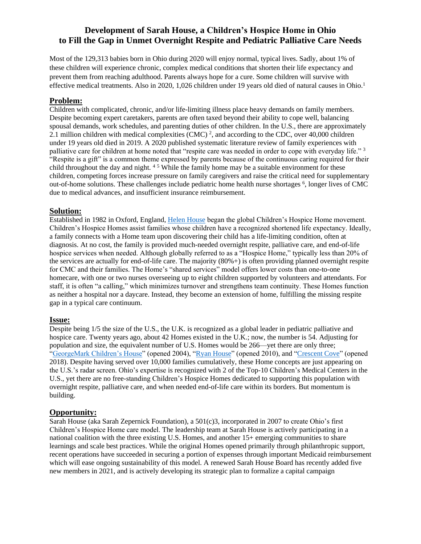# **Development of Sarah House, a Children's Hospice Home in Ohio to Fill the Gap in Unmet Overnight Respite and Pediatric Palliative Care Needs**

Most of the 129,313 babies born in Ohio during 2020 will enjoy normal, typical lives. Sadly, about 1% of these children will experience chronic, complex medical conditions that shorten their life expectancy and prevent them from reaching adulthood. Parents always hope for a cure. Some children will survive with effective medical treatments. Also in 2020, 1,026 children under 19 years old died of natural causes in Ohio.<sup>1</sup>

## **Problem:**

Children with complicated, chronic, and/or life-limiting illness place heavy demands on family members. Despite becoming expert caretakers, parents are often taxed beyond their ability to cope well, balancing spousal demands, work schedules, and parenting duties of other children. In the U.S., there are approximately 2.1 million children with medical complexities (CMC)<sup>2</sup>, and according to the CDC, over 40,000 children under 19 years old died in 2019. A 2020 published systematic literature review of family experiences with palliative care for children at home noted that "respite care was needed in order to cope with everyday life." 3 "Respite is a gift" is a common theme expressed by parents because of the continuous caring required for their child throughout the day and night. <sup>45</sup> While the family home may be a suitable environment for these children, competing forces increase pressure on family caregivers and raise the critical need for supplementary out-of-home solutions. These challenges include pediatric home health nurse shortages <sup>6</sup>, longer lives of CMC due to medical advances, and insufficient insurance reimbursement.

## **Solution:**

Established in 1982 in Oxford, England, [Helen House](about:blank) began the global Children's Hospice Home movement. Children's Hospice Homes assist families whose children have a recognized shortened life expectancy. Ideally, a family connects with a Home team upon discovering their child has a life-limiting condition, often at diagnosis. At no cost, the family is provided much-needed overnight respite, palliative care, and end-of-life hospice services when needed. Although globally referred to as a "Hospice Home," typically less than 20% of the services are actually for end-of-life care. The majority (80%+) is often providing planned overnight respite for CMC and their families. The Home's "shared services" model offers lower costs than one-to-one homecare, with one or two nurses overseeing up to eight children supported by volunteers and attendants. For staff, it is often "a calling," which minimizes turnover and strengthens team continuity. These Homes function as neither a hospital nor a daycare. Instead, they become an extension of home, fulfilling the missing respite gap in a typical care continuum.

#### **Issue:**

Despite being 1/5 the size of the U.S., the U.K. is recognized as a global leader in pediatric palliative and hospice care. Twenty years ago, about 42 Homes existed in the U.K.; now, the number is 54. Adjusting for population and size, the equivalent number of U.S. Homes would be 266—yet there are only three; "GeorgeMark Children's House" (opened 2004), ["Ryan House"](about:blank) (opened 2010), and ["Crescent Cove"](about:blank) (opened 2018). Despite having served over 10,000 families cumulatively, these Home concepts are just appearing on the U.S.'s radar screen. Ohio's expertise is recognized with 2 of the Top-10 Children's Medical Centers in the U.S., yet there are no free-standing Children's Hospice Homes dedicated to supporting this population with overnight respite, palliative care, and when needed end-of-life care within its borders. But momentum is building.

#### **Opportunity:**

Sarah House (aka Sarah Zepernick Foundation), a 501(c)3, incorporated in 2007 to create Ohio's first Children's Hospice Home care model. The leadership team at Sarah House is actively participating in a national coalition with the three existing U.S. Homes, and another 15+ emerging communities to share learnings and scale best practices. While the original Homes opened primarily through philanthropic support, recent operations have succeeded in securing a portion of expenses through important Medicaid reimbursement which will ease ongoing sustainability of this model. A renewed Sarah House Board has recently added five new members in 2021, and is actively developing its strategic plan to formalize a capital campaign